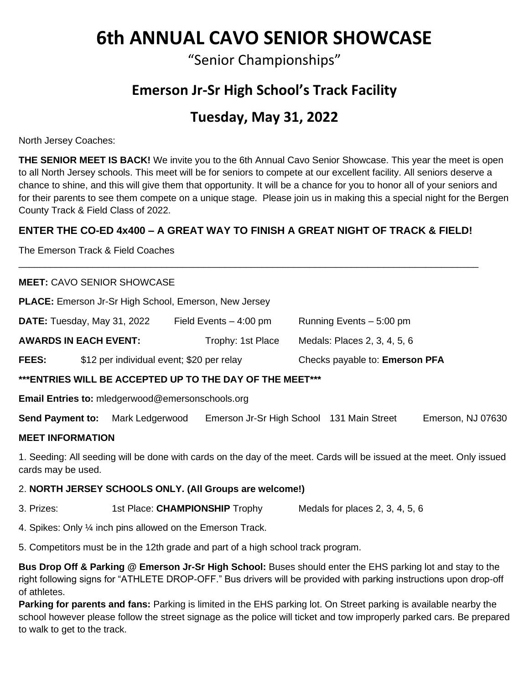# **6th ANNUAL CAVO SENIOR SHOWCASE**

"Senior Championships"

# **Emerson Jr-Sr High School's Track Facility**

# **Tuesday, May 31, 2022**

North Jersey Coaches:

**THE SENIOR MEET IS BACK!** We invite you to the 6th Annual Cavo Senior Showcase. This year the meet is open to all North Jersey schools. This meet will be for seniors to compete at our excellent facility. All seniors deserve a chance to shine, and this will give them that opportunity. It will be a chance for you to honor all of your seniors and for their parents to see them compete on a unique stage. Please join us in making this a special night for the Bergen County Track & Field Class of 2022.

#### **ENTER THE CO-ED 4x400 – A GREAT WAY TO FINISH A GREAT NIGHT OF TRACK & FIELD!**

\_\_\_\_\_\_\_\_\_\_\_\_\_\_\_\_\_\_\_\_\_\_\_\_\_\_\_\_\_\_\_\_\_\_\_\_\_\_\_\_\_\_\_\_\_\_\_\_\_\_\_\_\_\_\_\_\_\_\_\_\_\_\_\_\_\_\_\_\_\_\_\_\_\_\_\_\_\_\_\_\_\_\_\_\_\_\_

The Emerson Track & Field Coaches

#### **MEET:** CAVO SENIOR SHOWCASE

**PLACE:** Emerson Jr-Sr High School, Emerson, New Jersey

| DATE: Tuesday, May 31, 2022 | Field Events $-4:00$ pm | Running Events - 5:00 pm |
|-----------------------------|-------------------------|--------------------------|
|                             |                         |                          |

**AWARDS IN EACH EVENT:** Trophy: 1st Place Medals: Places 2, 3, 4, 5, 6

**FEES:** \$12 per individual event; \$20 per relay Checks payable to: **Emerson PFA**

#### **\*\*\*ENTRIES WILL BE ACCEPTED UP TO THE DAY OF THE MEET\*\*\***

**Email Entries to:** mledgerwood@emersonschools.org

**Send Payment to:** Mark Ledgerwood Emerson Jr-Sr High School 131 Main Street Emerson, NJ 07630

#### **MEET INFORMATION**

1. Seeding: All seeding will be done with cards on the day of the meet. Cards will be issued at the meet. Only issued cards may be used.

#### 2. **NORTH JERSEY SCHOOLS ONLY. (All Groups are welcome!)**

3. Prizes: 1st Place: **CHAMPIONSHIP** Trophy Medals for places 2, 3, 4, 5, 6

4. Spikes: Only ¼ inch pins allowed on the Emerson Track.

5. Competitors must be in the 12th grade and part of a high school track program.

**Bus Drop Off & Parking @ Emerson Jr-Sr High School:** Buses should enter the EHS parking lot and stay to the right following signs for "ATHLETE DROP-OFF." Bus drivers will be provided with parking instructions upon drop-off of athletes.

**Parking for parents and fans:** Parking is limited in the EHS parking lot. On Street parking is available nearby the school however please follow the street signage as the police will ticket and tow improperly parked cars. Be prepared to walk to get to the track.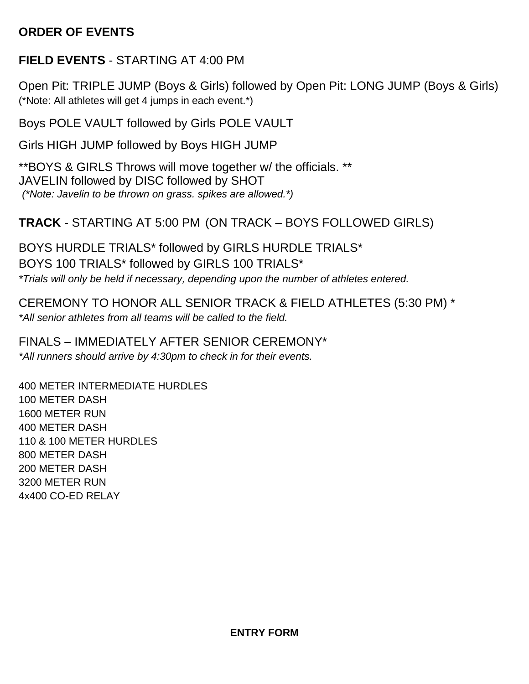## **ORDER OF EVENTS**

### **FIELD EVENTS** - STARTING AT 4:00 PM

Open Pit: TRIPLE JUMP (Boys & Girls) followed by Open Pit: LONG JUMP (Boys & Girls) (\*Note: All athletes will get 4 jumps in each event.\*)

Boys POLE VAULT followed by Girls POLE VAULT

Girls HIGH JUMP followed by Boys HIGH JUMP

\*\*BOYS & GIRLS Throws will move together w/ the officials. \*\* JAVELIN followed by DISC followed by SHOT *(\*Note: Javelin to be thrown on grass. spikes are allowed.\*)*

### **TRACK** - STARTING AT 5:00 PM (ON TRACK – BOYS FOLLOWED GIRLS)

BOYS HURDLE TRIALS\* followed by GIRLS HURDLE TRIALS\* BOYS 100 TRIALS\* followed by GIRLS 100 TRIALS\* *\*Trials will only be held if necessary, depending upon the number of athletes entered.*

CEREMONY TO HONOR ALL SENIOR TRACK & FIELD ATHLETES (5:30 PM) \* *\*All senior athletes from all teams will be called to the field.*

FINALS – IMMEDIATELY AFTER SENIOR CEREMONY\* *\*All runners should arrive by 4:30pm to check in for their events.*

400 METER INTERMEDIATE HURDLES 100 METER DASH 1600 METER RUN 400 METER DASH 110 & 100 METER HURDLES 800 METER DASH 200 METER DASH 3200 METER RUN 4x400 CO-ED RELAY

**ENTRY FORM**